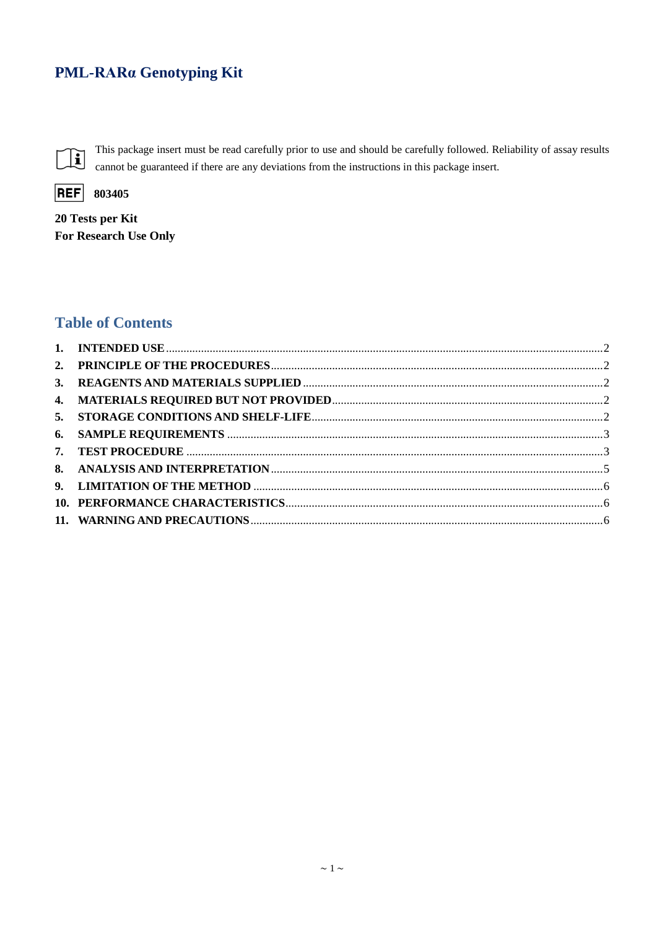# PML-RARa Genotyping Kit



This package insert must be read carefully prior to use and should be carefully followed. Reliability of assay results cannot be guaranteed if there are any deviations from the instructions in this package insert.



20 Tests per Kit For Research Use Only

## **Table of Contents**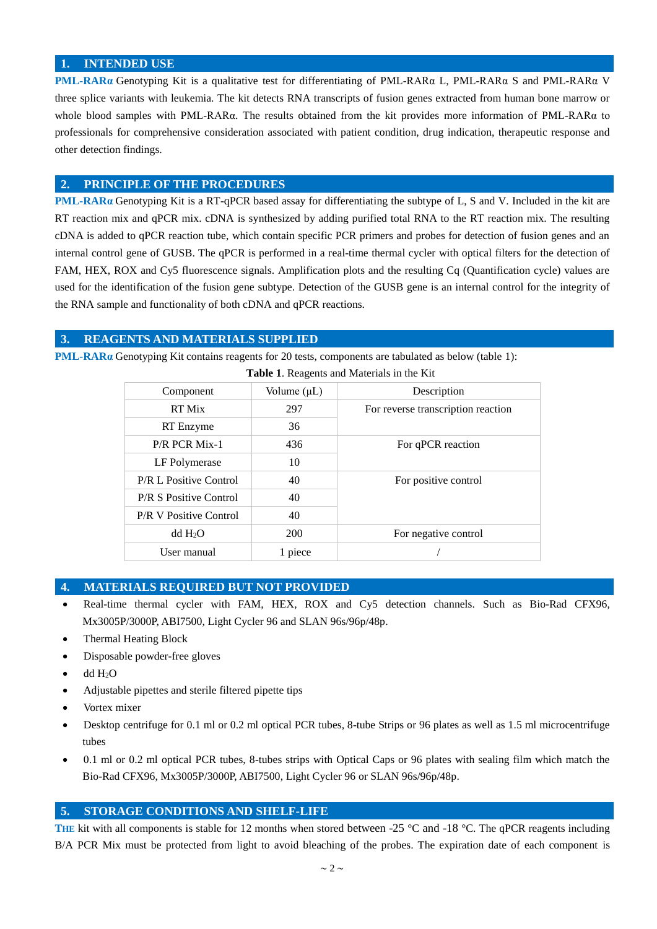#### <span id="page-1-0"></span>**1. INTENDED USE**

**PML-RARα** Genotyping Kit is a qualitative test for differentiating of PML-RARα L, PML-RARα S and PML-RARα V three splice variants with leukemia. The kit detects RNA transcripts of fusion genes extracted from human bone marrow or whole blood samples with PML-RARα. The results obtained from the kit provides more information of PML-RARα to professionals for comprehensive consideration associated with patient condition, drug indication, therapeutic response and other detection findings.

#### <span id="page-1-1"></span>**2. PRINCIPLE OF THE PROCEDURES**

**PML-RARα** Genotyping Kit is a RT-qPCR based assay for differentiating the subtype of L, S and V. Included in the kit are RT reaction mix and qPCR mix. cDNA is synthesized by adding purified total RNA to the RT reaction mix. The resulting cDNA is added to qPCR reaction tube, which contain specific PCR primers and probes for detection of fusion genes and an internal control gene of GUSB. The qPCR is performed in a real-time thermal cycler with optical filters for the detection of FAM, HEX, ROX and Cy5 fluorescence signals. Amplification plots and the resulting Cq (Quantification cycle) values are used for the identification of the fusion gene subtype. Detection of the GUSB gene is an internal control for the integrity of the RNA sample and functionality of both cDNA and qPCR reactions.

## <span id="page-1-2"></span>**3. REAGENTS AND MATERIALS SUPPLIED**

**PML-RARα** Genotyping Kit contains reagents for 20 tests, components are tabulated as below (table 1):

| $\ldots$                      |                  |                                    |  |  |  |
|-------------------------------|------------------|------------------------------------|--|--|--|
| Component                     | Volume $(\mu L)$ | Description                        |  |  |  |
| RT Mix                        | 297              | For reverse transcription reaction |  |  |  |
| RT Enzyme                     | 36               |                                    |  |  |  |
| <b>P/R PCR Mix-1</b>          | 436              | For qPCR reaction                  |  |  |  |
| LF Polymerase                 | 10               |                                    |  |  |  |
| <b>P/R L Positive Control</b> | 40               | For positive control               |  |  |  |
| <b>P/R S Positive Control</b> | 40               |                                    |  |  |  |
| <b>P/R V Positive Control</b> | 40               |                                    |  |  |  |
| dd H <sub>2</sub> O           | 200              | For negative control               |  |  |  |
| User manual                   | 1 piece          |                                    |  |  |  |

 **Table 1**. Reagents and Materials in the Kit

#### <span id="page-1-3"></span>**4. MATERIALS REQUIRED BUT NOT PROVIDED**

- Real-time thermal cycler with FAM, HEX, ROX and Cy5 detection channels. Such as Bio-Rad CFX96, Mx3005P/3000P, ABI7500, Light Cycler 96 and SLAN 96s/96p/48p.
- Thermal Heating Block
- Disposable powder-free gloves
- dd H2O
- Adjustable pipettes and sterile filtered pipette tips
- Vortex mixer
- Desktop centrifuge for 0.1 ml or 0.2 ml optical PCR tubes, 8-tube Strips or 96 plates as well as 1.5 ml microcentrifuge tubes
- 0.1 ml or 0.2 ml optical PCR tubes, 8-tubes strips with Optical Caps or 96 plates with sealing film which match the Bio-Rad CFX96, Mx3005P/3000P, ABI7500, Light Cycler 96 or SLAN 96s/96p/48p.

## <span id="page-1-4"></span>**5. STORAGE CONDITIONS AND SHELF-LIFE**

**THE** kit with all components is stable for 12 months when stored between -25  $\degree$ C and -18  $\degree$ C. The qPCR reagents including B/A PCR Mix must be protected from light to avoid bleaching of the probes. The expiration date of each component is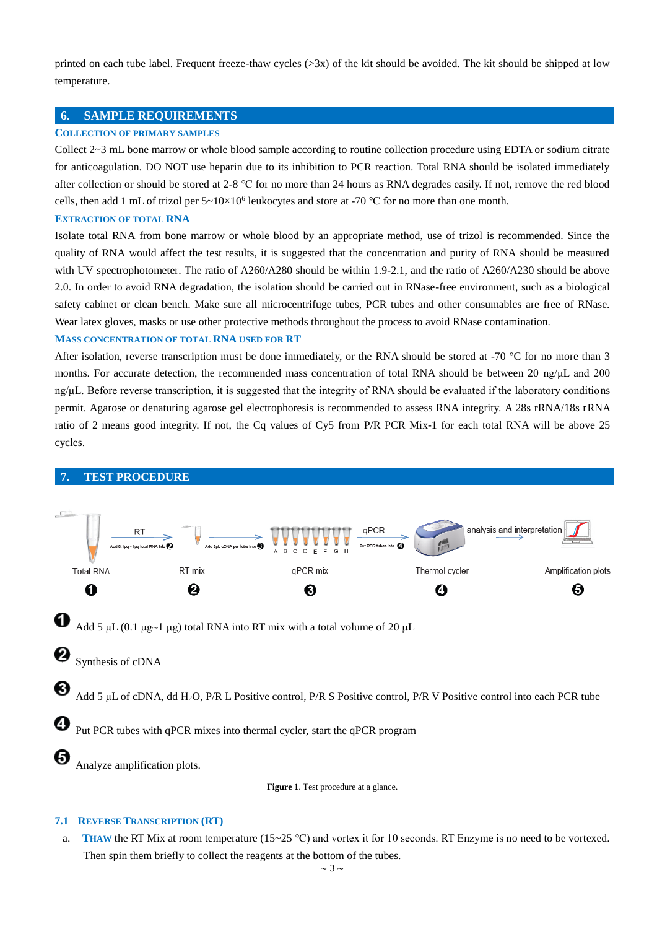printed on each tube label. Frequent freeze-thaw cycles  $(>\frac{3x}{x})$  of the kit should be avoided. The kit should be shipped at low temperature.

## <span id="page-2-0"></span>**6. SAMPLE REQUIREMENTS**

#### **COLLECTION OF PRIMARY SAMPLES**

Collect 2~3 mL bone marrow or whole blood sample according to routine collection procedure using EDTA or sodium citrate for anticoagulation. DO NOT use heparin due to its inhibition to PCR reaction. Total RNA should be isolated immediately after collection or should be stored at 2-8 ℃ for no more than 24 hours as RNA degrades easily. If not, remove the red blood cells, then add 1 mL of trizol per  $5 \times 10 \times 10^6$  leukocytes and store at -70 °C for no more than one month.

#### **EXTRACTION OF TOTAL RNA**

Isolate total RNA from bone marrow or whole blood by an appropriate method, use of trizol is recommended. Since the quality of RNA would affect the test results, it is suggested that the concentration and purity of RNA should be measured with UV spectrophotometer. The ratio of A260/A280 should be within 1.9-2.1, and the ratio of A260/A230 should be above 2.0. In order to avoid RNA degradation, the isolation should be carried out in RNase-free environment, such as a biological safety cabinet or clean bench. Make sure all microcentrifuge tubes, PCR tubes and other consumables are free of RNase. Wear latex gloves, masks or use other protective methods throughout the process to avoid RNase contamination.

#### **MASS CONCENTRATION OF TOTAL RNA USED FOR RT**

After isolation, reverse transcription must be done immediately, or the RNA should be stored at -70  $\degree$ C for no more than 3 months. For accurate detection, the recommended mass concentration of total RNA should be between 20 ng/ $\mu$ L and 200 ng/μL. Before reverse transcription, it is suggested that the integrity of RNA should be evaluated if the laboratory conditions permit. Agarose or denaturing agarose gel electrophoresis is recommended to assess RNA integrity. A 28s rRNA/18s rRNA ratio of 2 means good integrity. If not, the Cq values of Cy5 from P/R PCR Mix-1 for each total RNA will be above 25 cycles.

<span id="page-2-1"></span>

**Figure 1**. Test procedure at a glance.

#### **7.1 REVERSE TRANSCRIPTION (RT)**

a. **THAW** the RT Mix at room temperature ( $15~25$  °C) and vortex it for 10 seconds. RT Enzyme is no need to be vortexed. Then spin them briefly to collect the reagents at the bottom of the tubes.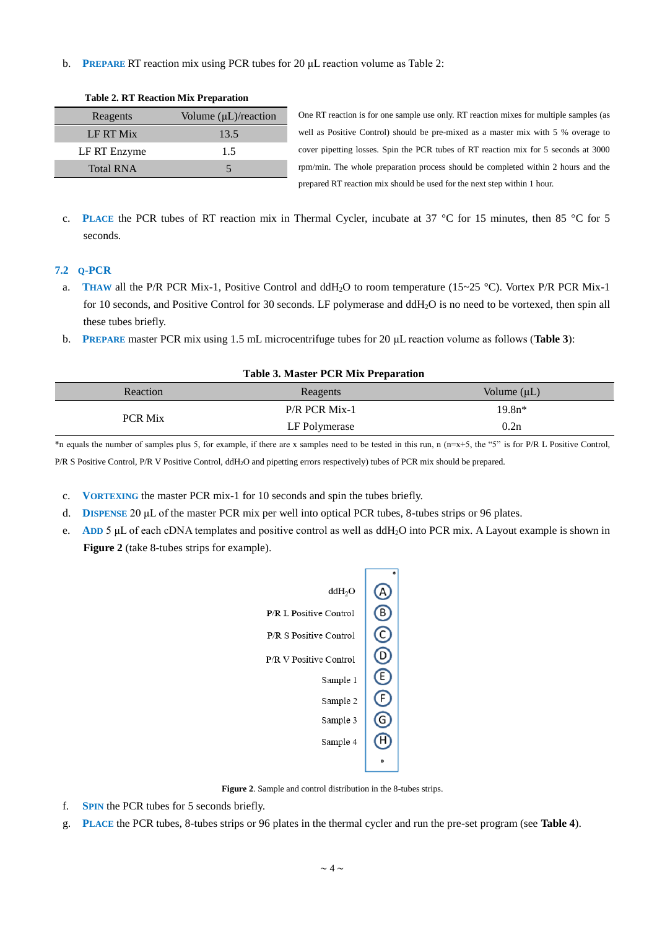b. **PREPARE** RT reaction mix using PCR tubes for 20 μL reaction volume as Table 2:

|                  | --------                         |
|------------------|----------------------------------|
| Reagents         | Volume $(\mu L)/\text{reaction}$ |
| LF RT Mix        | 13.5                             |
| LF RT Enzyme     | 1.5                              |
| <b>Total RNA</b> |                                  |

**Table 2. RT Reaction Mix Preparation**

One RT reaction is for one sample use only. RT reaction mixes for multiple samples (as well as Positive Control) should be pre-mixed as a master mix with 5 % overage to cover pipetting losses. Spin the PCR tubes of RT reaction mix for 5 seconds at 3000 rpm/min. The whole preparation process should be completed within 2 hours and the prepared RT reaction mix should be used for the next step within 1 hour.

c. **PLACE** the PCR tubes of RT reaction mix in Thermal Cycler, incubate at 37  $\degree$  C for 15 minutes, then 85  $\degree$  C for 5 seconds.

#### **7.2 Q-PCR**

- a. **THAW** all the P/R PCR Mix-1, Positive Control and ddH<sub>2</sub>O to room temperature (15~25 °C). Vortex P/R PCR Mix-1 for 10 seconds, and Positive Control for 30 seconds. LF polymerase and ddH<sub>2</sub>O is no need to be vortexed, then spin all these tubes briefly.
- b. **PREPARE** master PCR mix using 1.5 mL microcentrifuge tubes for 20 μL reaction volume as follows (**Table 3**):

| Table 5. Master T CK MIA I reparation |                 |                  |  |  |
|---------------------------------------|-----------------|------------------|--|--|
| Reaction                              | Reagents        | Volume $(\mu L)$ |  |  |
| <b>PCR Mix</b>                        | $P/R$ PCR Mix-1 | $19.8n*$         |  |  |
|                                       | LF Polymerase   | 0.2n             |  |  |

**Table 3. Master PCR Mix Preparation**

\*n equals the number of samples plus 5, for example, if there are x samples need to be tested in this run, n (n=x+5, the "5" is for P/R L Positive Control, P/R S Positive Control, P/R V Positive Control, ddH2O and pipetting errors respectively) tubes of PCR mix should be prepared.

- c. **VORTEXING** the master PCR mix-1 for 10 seconds and spin the tubes briefly.
- d. **DISPENSE** 20 μL of the master PCR mix per well into optical PCR tubes, 8-tubes strips or 96 plates.
- e. **ADD** 5 μL of each cDNA templates and positive control as well as ddH2O into PCR mix. A Layout example is shown in **Figure 2** (take 8-tubes strips for example).



**Figure 2**. Sample and control distribution in the 8-tubes strips.

- f. **SPIN** the PCR tubes for 5 seconds briefly.
- g. **PLACE** the PCR tubes, 8-tubes strips or 96 plates in the thermal cycler and run the pre-set program (see **Table 4**).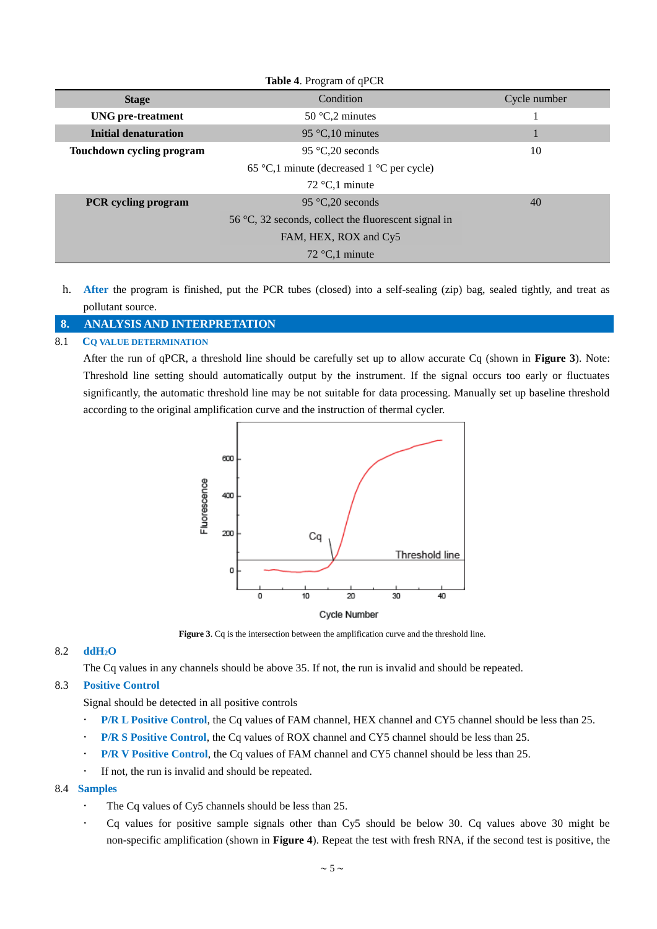| Table 4. Program of qPCR    |                                                      |              |  |  |
|-----------------------------|------------------------------------------------------|--------------|--|--|
| <b>Stage</b>                | Condition                                            | Cycle number |  |  |
| <b>UNG</b> pre-treatment    | 50 $C2$ minutes                                      |              |  |  |
| <b>Initial denaturation</b> | 95 $\mathbb{C}$ , 10 minutes                         |              |  |  |
| Touchdown cycling program   | 95 $C_{0}20$ seconds                                 | 10           |  |  |
|                             | 65 °C,1 minute (decreased 1 °C per cycle)            |              |  |  |
|                             | 72 $C$ , 1 minute                                    |              |  |  |
| <b>PCR</b> cycling program  | 95 °C, 20 seconds                                    | 40           |  |  |
|                             | 56 °C, 32 seconds, collect the fluorescent signal in |              |  |  |
|                             | FAM, HEX, ROX and Cy5                                |              |  |  |
|                             | 72 $C1$ minute                                       |              |  |  |

h. **After** the program is finished, put the PCR tubes (closed) into a self-sealing (zip) bag, sealed tightly, and treat as pollutant source.

## <span id="page-4-0"></span>**8. ANALYSIS AND INTERPRETATION**

#### 8.1 **CQ VALUE DETERMINATION**

After the run of qPCR, a threshold line should be carefully set up to allow accurate Cq (shown in **Figure 3**). Note: Threshold line setting should automatically output by the instrument. If the signal occurs too early or fluctuates significantly, the automatic threshold line may be not suitable for data processing. Manually set up baseline threshold according to the original amplification curve and the instruction of thermal cycler.



**Figure 3**. Cq is the intersection between the amplification curve and the threshold line.

## 8.2 **ddH2O**

The Cq values in any channels should be above 35. If not, the run is invalid and should be repeated.

#### 8.3 **Positive Control**

Signal should be detected in all positive controls

- **P/R L Positive Control**, the Cq values of FAM channel, HEX channel and CY5 channel should be less than 25.
- **P/R S Positive Control**, the Cq values of ROX channel and CY5 channel should be less than 25.
- **P/R V Positive Control**, the Cq values of FAM channel and CY5 channel should be less than 25.
- If not, the run is invalid and should be repeated.

#### 8.4 **Samples**

- The Cq values of Cy5 channels should be less than 25.
- Cq values for positive sample signals other than Cy5 should be below 30. Cq values above 30 might be non-specific amplification (shown in **Figure 4**). Repeat the test with fresh RNA, if the second test is positive, the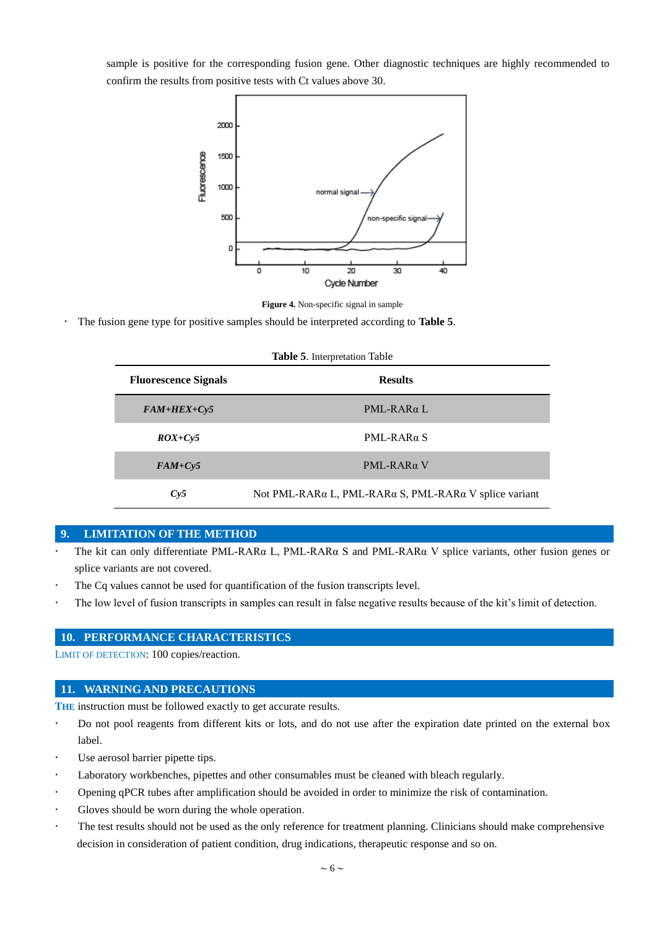sample is positive for the corresponding fusion gene. Other diagnostic techniques are highly recommended to confirm the results from positive tests with Ct values above 30.



**Figure 4.** Non-specific signal in sample

The fusion gene type for positive samples should be interpreted according to **Table 5**.

| <b>Table 5.</b> Interpretation Table |                                                       |  |  |  |
|--------------------------------------|-------------------------------------------------------|--|--|--|
| <b>Fluorescence Signals</b>          | <b>Results</b>                                        |  |  |  |
| $FAM+HEX+Cy5$                        | $PML-RAR\alpha L$                                     |  |  |  |
| $ROX+Cv5$                            | $PML-RAR\alpha S$                                     |  |  |  |
| $FAM+Cy5$                            | $PML-RAR\alpha V$                                     |  |  |  |
| Cy5                                  | Not PML-RARα L, PML-RARα S, PML-RARα V splice variant |  |  |  |

#### <span id="page-5-0"></span>**9. LIMITATION OF THE METHOD**

- The kit can only differentiate PML-RARα L, PML-RARα S and PML-RARα V splice variants, other fusion genes or splice variants are not covered.
- The Cq values cannot be used for quantification of the fusion transcripts level.
- The low level of fusion transcripts in samples can result in false negative results because of the kit's limit of detection.

## <span id="page-5-1"></span>**10. PERFORMANCE CHARACTERISTICS**

LIMIT OF DETECTION: 100 copies/reaction.

#### <span id="page-5-2"></span>**11. WARNING AND PRECAUTIONS**

**THE** instruction must be followed exactly to get accurate results.

- Do not pool reagents from different kits or lots, and do not use after the expiration date printed on the external box label.
- Use aerosol barrier pipette tips.
- Laboratory workbenches, pipettes and other [consumables](app:ds:consumables) must be cleaned with bleach regularly.
- Opening qPCR tubes after amplification should be avoided in order to minimize the risk of contamination.
- Gloves should be worn during the whole operation.
- The test results should not be used as the only reference for treatment planning. Clinicians should make comprehensive decision in consideration of patient condition, drug indications, therapeutic response and so on.